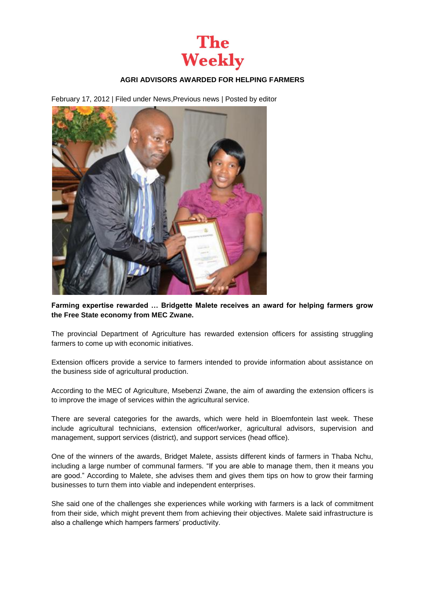

## **AGRI ADVISORS AWARDED FOR HELPING FARMERS**

February 17, 2012 | Filed under [News](http://theweekly.co.za/?cat=3)[,Previous news](http://theweekly.co.za/?cat=7) | Posted by [editor](http://theweekly.co.za/?author=1)



**Farming expertise rewarded … Bridgette Malete receives an award for helping farmers grow the Free State economy from MEC Zwane.**

The provincial Department of Agriculture has rewarded extension officers for assisting struggling farmers to come up with economic initiatives.

Extension officers provide a service to farmers intended to provide information about assistance on the business side of agricultural production.

According to the MEC of Agriculture, Msebenzi Zwane, the aim of awarding the extension officers is to improve the image of services within the agricultural service.

There are several categories for the awards, which were held in Bloemfontein last week. These include agricultural technicians, extension officer/worker, agricultural advisors, supervision and management, support services (district), and support services (head office).

One of the winners of the awards, Bridget Malete, assists different kinds of farmers in Thaba Nchu, including a large number of communal farmers. "If you are able to manage them, then it means you are good." According to Malete, she advises them and gives them tips on how to grow their farming businesses to turn them into viable and independent enterprises.

She said one of the challenges she experiences while working with farmers is a lack of commitment from their side, which might prevent them from achieving their objectives. Malete said infrastructure is also a challenge which hampers farmers' productivity.